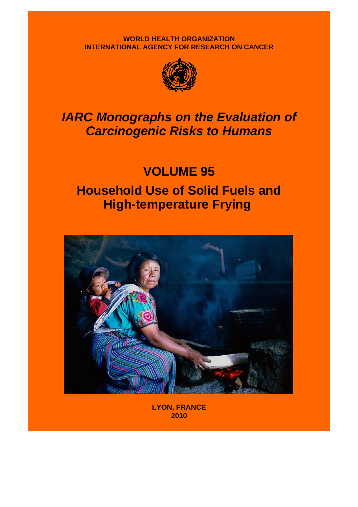**WORLD HEALTH ORGANIZATION INTERNATIONAL AGENCY FOR RESEARCH ON CANCER**



## *IARC Monographs on the Evaluation of Carcinogenic Risks to Humans*

# **VOLUME 95 Household Use of Solid Fuels and High-temperature Frying**



**LYON, FRANCE 2010**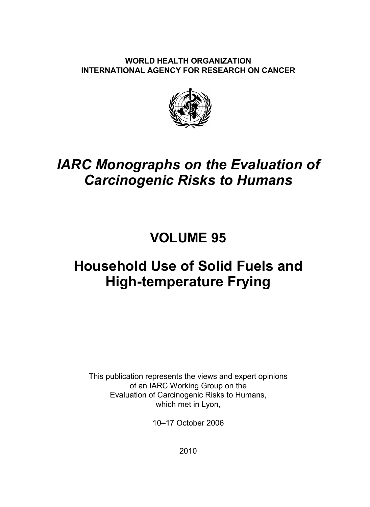#### **WORLD HEALTH ORGANIZATION INTERNATIONAL AGENCY FOR RESEARCH ON CANCER**



### *IARC Monographs on the Evaluation of Carcinogenic Risks to Humans*

### **VOLUME 95**

## **Household Use of Solid Fuels and High-temperature Frying**

This publication represents the views and expert opinions of an IARC Working Group on the Evaluation of Carcinogenic Risks to Humans, which met in Lyon,

10–17 October 2006

2010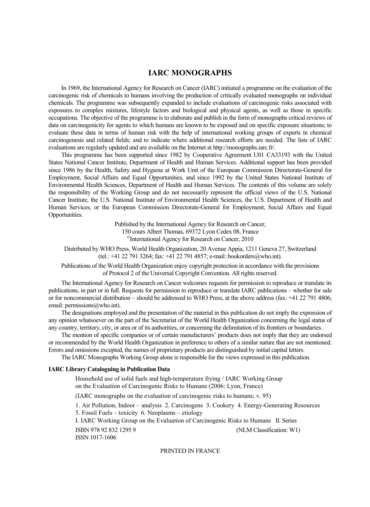#### **IARC MONOGRAPHS**

In 1969, the International Agency for Research on Cancer (IARC) initiated a programme on the evaluation of the carcinogenic risk of chemicals to humans involving the production of critically evaluated monographs on individual chemicals. The programme was subsequently expanded to include evaluations of carcinogenic risks associated with exposures to complex mixtures, lifestyle factors and biological and physical agents, as well as those in specific occupations. The objective of the programme is to elaborate and publish in the form of monographs critical reviews of data on carcinogenicity for agents to which humans are known to be exposed and on specific exposure situations; to evaluate these data in terms of human risk with the help of international working groups of experts in chemical carcinogenesis and related fields; and to indicate where additional research efforts are needed. The lists of IARC evaluations are regularly updated and are available on the Internet at http://monographs.iarc.fr/.

This programme has been supported since 1982 by Cooperative Agreement U01 CA33193 with the United States National Cancer Institute, Department of Health and Human Services. Additional support has been provided since 1986 by the Health, Safety and Hygiene at Work Unit of the European Commission Directorate-General for Employment, Social Affairs and Equal Opportunities, and since 1992 by the United States National Institute of Environmental Health Sciences, Department of Health and Human Services. The contents of this volume are solely the responsibility of the Working Group and do not necessarily represent the official views of the U.S. National Cancer Institute, the U.S. National Institute of Environmental Health Sciences, the U.S. Department of Health and Human Services, or the European Commission Directorate-General for Employment, Social Affairs and Equal Opportunities.

Published by the International Agency for Research on Cancer,

150 cours Albert Thomas, 69372 Lyon Cedex 08, France

<sup>©</sup>International Agency for Research on Cancer, 2010

Distributed by WHO Press, World Health Organization, 20 Avenue Appia, 1211 Geneva 27, Switzerland (tel.: +41 22 791 3264; fax: +41 22 791 4857; e-mail: bookorders@who.int).

Publications of the World Health Organization enjoy copyright protection in accordance with the provisions of Protocol 2 of the Universal Copyright Convention. All rights reserved.

The International Agency for Research on Cancer welcomes requests for permission to reproduce or translate its publications, in part or in full. Requests for permission to reproduce or translate IARC publications – whether for sale or for noncommercial distribution – should be addressed to WHO Press, at the above address (fax: +41 22 791 4806; email: permissions@who.int).

The designations employed and the presentation of the material in this publication do not imply the expression of any opinion whatsoever on the part of the Secretariat of the World Health Organization concerning the legal status of any country, territory, city, or area or of its authorities, or concerning the delimitation of its frontiers or boundaries.

The mention of specific companies or of certain manufacturers' products does not imply that they are endorsed or recommended by the World Health Organization in preference to others of a similar nature that are not mentioned. Errors and omissions excepted, the names of proprietary products are distinguished by initial capital letters.

The IARC Monographs Working Group alone is responsible for the views expressed in this publication.

#### **IARC Library Cataloguing in Publication Data**

Household use of solid fuels and high-temperature frying / IARC Working Group on the Evaluation of Carcinogenic Risks to Humans (2006: Lyon, France)

(IARC monographs on the evaluation of carcinogenic risks to humans; v. 95)

1. Air Pollution, Indoor – analysis 2. Carcinogens 3. Cookery 4. Energy-Generating Resources 5. Fossil Fuels – toxicity 6. Neoplasms – etiology

I. IARC Working Group on the Evaluation of Carcinogenic Risks to Humans II. Series

 ISBN 978 92 832 1295 9 (NLM Classification: W1) ISSN 1017-1606

#### PRINTED IN FRANCE